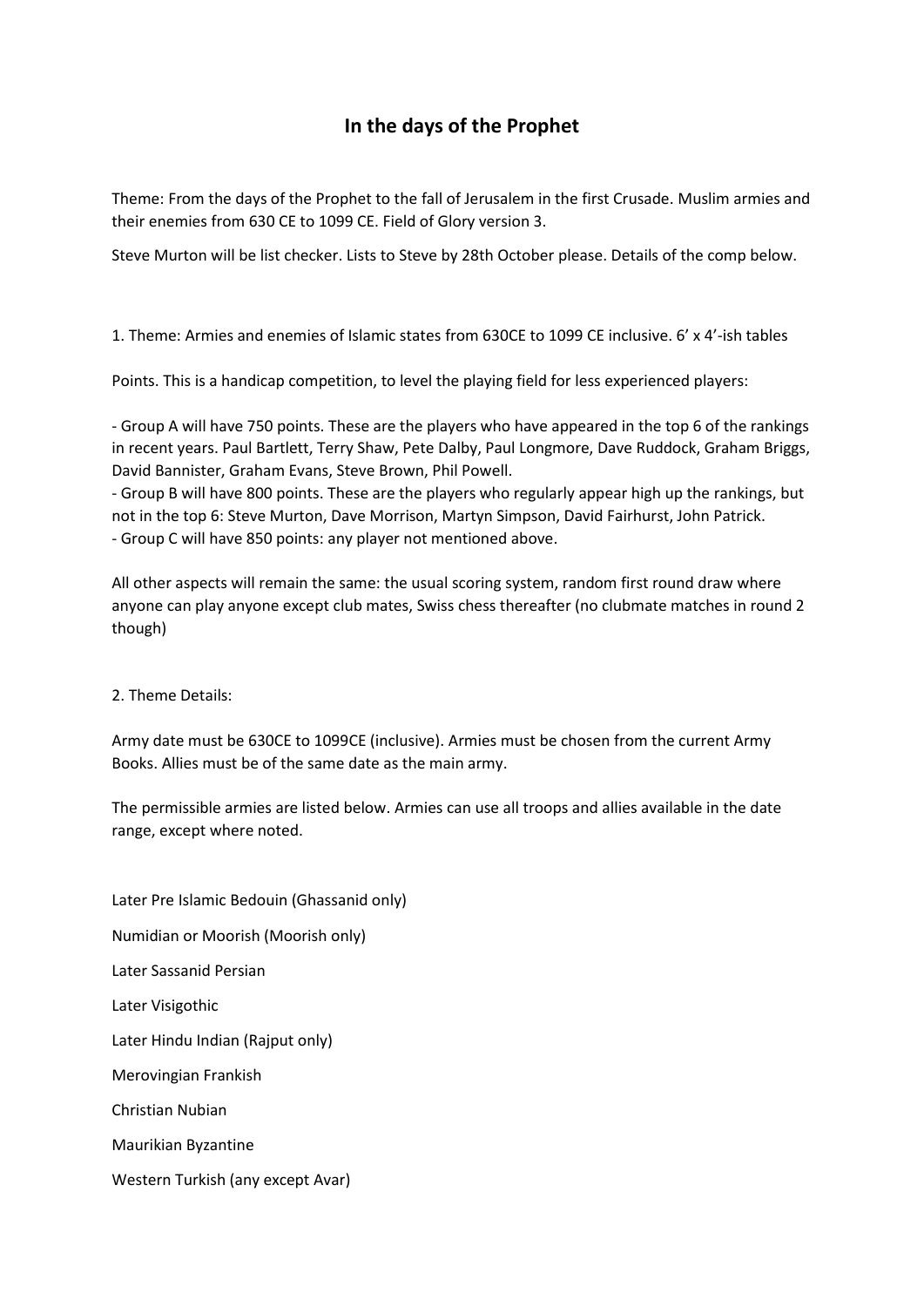## **In the days of the Prophet**

Theme: From the days of the Prophet to the fall of Jerusalem in the first Crusade. Muslim armies and their enemies from 630 CE to 1099 CE. Field of Glory version 3.

Steve Murton will be list checker. Lists to Steve by 28th October please. Details of the comp below.

1. Theme: Armies and enemies of Islamic states from 630CE to 1099 CE inclusive. 6' x 4'-ish tables

Points. This is a handicap competition, to level the playing field for less experienced players:

- Group A will have 750 points. These are the players who have appeared in the top 6 of the rankings in recent years. Paul Bartlett, Terry Shaw, Pete Dalby, Paul Longmore, Dave Ruddock, Graham Briggs, David Bannister, Graham Evans, Steve Brown, Phil Powell.

- Group B will have 800 points. These are the players who regularly appear high up the rankings, but not in the top 6: Steve Murton, Dave Morrison, Martyn Simpson, David Fairhurst, John Patrick. - Group C will have 850 points: any player not mentioned above.

All other aspects will remain the same: the usual scoring system, random first round draw where anyone can play anyone except club mates, Swiss chess thereafter (no clubmate matches in round 2 though)

## 2. Theme Details:

Army date must be 630CE to 1099CE (inclusive). Armies must be chosen from the current Army Books. Allies must be of the same date as the main army.

The permissible armies are listed below. Armies can use all troops and allies available in the date range, except where noted.

Later Pre Islamic Bedouin (Ghassanid only) Numidian or Moorish (Moorish only) Later Sassanid Persian Later Visigothic Later Hindu Indian (Rajput only) Merovingian Frankish Christian Nubian Maurikian Byzantine Western Turkish (any except Avar)